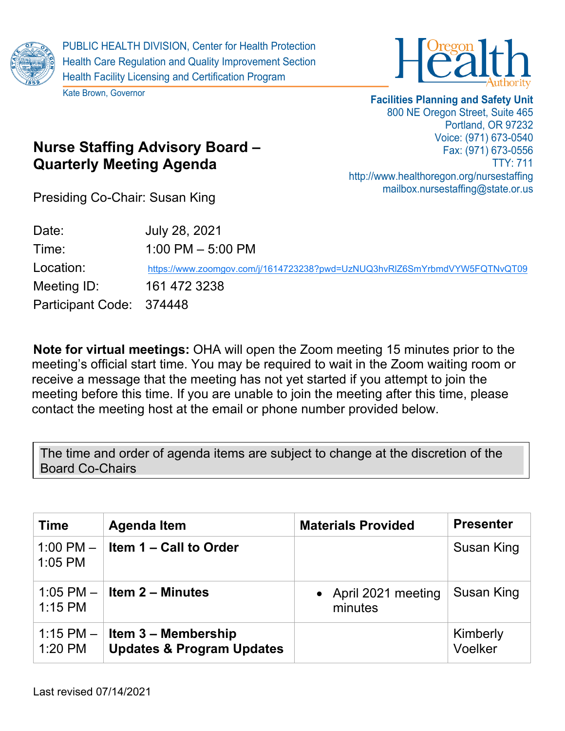

Kate Brown, Governor



## **Facilities Planning and Safety Unit** 800 NE Oregon Street, Suite 465 Portland, OR 97232 Voice: (971) 673-0540 Fax: (971) 673-0556 TTY: 711 http://www.healthoregon.org/nursestaffing mailbox.nursestaffing@state.or.us

Presiding Co-Chair: Susan King

**Quarterly Meeting Agenda**

**Nurse Staffing Advisory Board –**

| Date:                    | July 28, 2021                                                             |
|--------------------------|---------------------------------------------------------------------------|
| Time:                    | $1:00$ PM $-5:00$ PM                                                      |
| Location:                | https://www.zoomgov.com/j/1614723238?pwd=UzNUQ3hvRIZ6SmYrbmdVYW5FQTNvQT09 |
| Meeting ID:              | 161 472 3238                                                              |
| Participant Code: 374448 |                                                                           |

**Note for virtual meetings:** OHA will open the Zoom meeting 15 minutes prior to the meeting's official start time. You may be required to wait in the Zoom waiting room or receive a message that the meeting has not yet started if you attempt to join the meeting before this time. If you are unable to join the meeting after this time, please contact the meeting host at the email or phone number provided below.

The time and order of agenda items are subject to change at the discretion of the Board Co-Chairs

| <b>Time</b>              | <b>Agenda Item</b>                                                      | <b>Materials Provided</b>       | <b>Presenter</b>    |
|--------------------------|-------------------------------------------------------------------------|---------------------------------|---------------------|
| 1:00 PM $-$<br>$1:05$ PM | Item 1 – Call to Order                                                  |                                 | Susan King          |
| $1:15$ PM                | 1:05 PM $-$ Item 2 – Minutes                                            | • April 2021 meeting<br>minutes | Susan King          |
| 1:20 PM                  | 1:15 PM $-$ Item 3 – Membership<br><b>Updates &amp; Program Updates</b> |                                 | Kimberly<br>Voelker |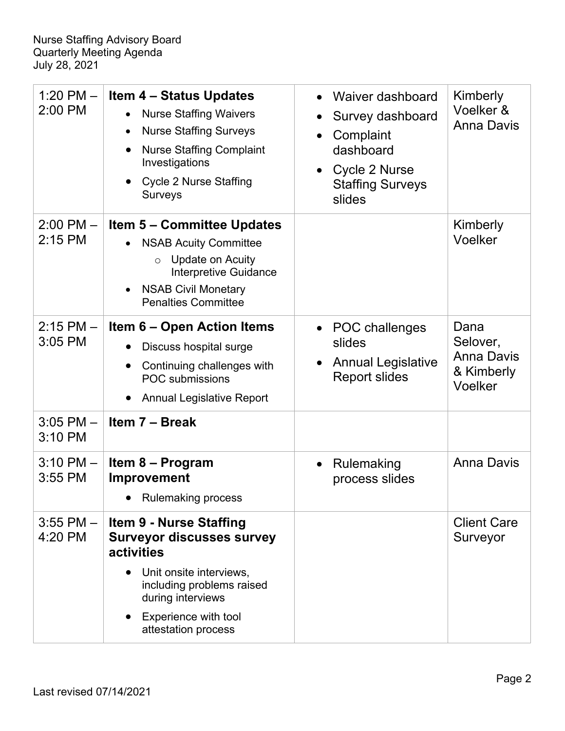| 1:20 PM $-$<br>2:00 PM     | <b>Item 4 – Status Updates</b><br><b>Nurse Staffing Waivers</b><br>$\bullet$<br><b>Nurse Staffing Surveys</b><br>$\bullet$<br><b>Nurse Staffing Complaint</b><br>$\bullet$<br>Investigations<br><b>Cycle 2 Nurse Staffing</b><br>$\bullet$<br><b>Surveys</b> | Waiver dashboard<br>Survey dashboard<br>Complaint<br>dashboard<br>Cycle 2 Nurse<br>$\bullet$<br><b>Staffing Surveys</b><br>slides | Kimberly<br>Voelker &<br><b>Anna Davis</b>                     |
|----------------------------|--------------------------------------------------------------------------------------------------------------------------------------------------------------------------------------------------------------------------------------------------------------|-----------------------------------------------------------------------------------------------------------------------------------|----------------------------------------------------------------|
| $2:00$ PM $-$<br>$2:15$ PM | <b>Item 5 – Committee Updates</b><br><b>NSAB Acuity Committee</b><br>$\bullet$<br><b>Update on Acuity</b><br>$\circ$<br><b>Interpretive Guidance</b><br><b>NSAB Civil Monetary</b><br>$\bullet$<br><b>Penalties Committee</b>                                |                                                                                                                                   | Kimberly<br>Voelker                                            |
| $2:15$ PM $-$<br>3:05 PM   | <b>Item 6 – Open Action Items</b><br>Discuss hospital surge<br>Continuing challenges with<br>$\bullet$<br><b>POC</b> submissions<br><b>Annual Legislative Report</b><br>$\bullet$                                                                            | POC challenges<br>slides<br><b>Annual Legislative</b><br><b>Report slides</b>                                                     | Dana<br>Selover,<br><b>Anna Davis</b><br>& Kimberly<br>Voelker |
| $3:05$ PM $-$<br>3:10 PM   | Item 7 - Break                                                                                                                                                                                                                                               |                                                                                                                                   |                                                                |
| $3:10$ PM $-$<br>3:55 PM   | Item 8 - Program<br><b>Improvement</b><br>• Rulemaking process                                                                                                                                                                                               | Rulemaking<br>$\bullet$<br>process slides                                                                                         | <b>Anna Davis</b>                                              |
| $3:55$ PM $-$<br>4:20 PM   | <b>Item 9 - Nurse Staffing</b><br><b>Surveyor discusses survey</b><br>activities<br>Unit onsite interviews,<br>including problems raised<br>during interviews<br>Experience with tool<br>attestation process                                                 |                                                                                                                                   | <b>Client Care</b><br>Surveyor                                 |